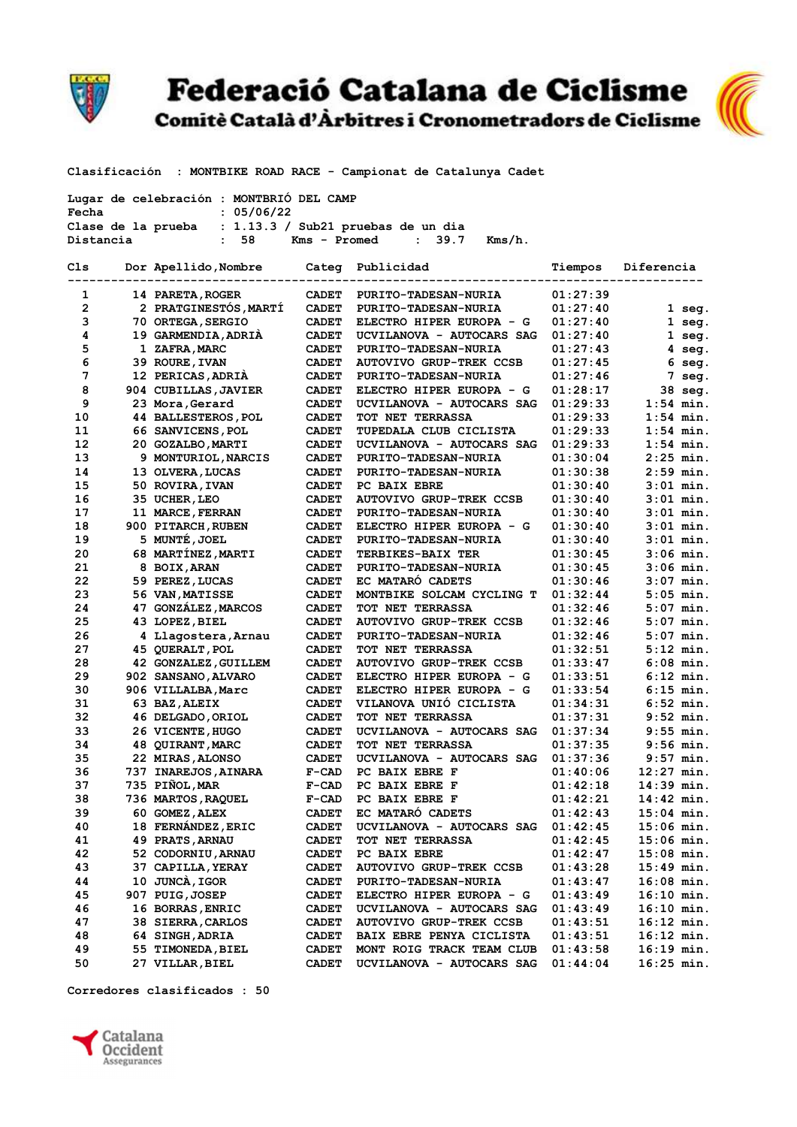

Federació Catalana de Ciclisme<br>Comitè Català d'Àrbitres i Cronometradors de Ciclisme



Clasificación : MONTBIKE ROAD RACE - Campionat de Catalunya Cadet

| Lugar de celebración : MONTBRIO DEL CAMP |                                                         |  |        |
|------------------------------------------|---------------------------------------------------------|--|--------|
| Fecha                                    | : 05/06/22                                              |  |        |
|                                          | Clase de la prueba : $1.13.3 /$ Sub21 pruebas de un dia |  |        |
| Distancia                                | $Kms - Promed : 39.7$<br>: 58                           |  | Kms/h. |

| Cls          | Dor Apellido, Nombre       | Categ        | Publicidad                                               | Tiempos              | Diferencia                 |  |
|--------------|----------------------------|--------------|----------------------------------------------------------|----------------------|----------------------------|--|
| 1            | 14 PARETA, ROGER           | <b>CADET</b> | <b>PURITO-TADESAN-NURIA</b>                              | 01:27:39             |                            |  |
| $\mathbf{2}$ | 2 PRATGINESTÓS, MARTÍ      | <b>CADET</b> | <b>PURITO-TADESAN-NURIA</b>                              | 01:27:40             | $1$ seg.                   |  |
| з            | 70 ORTEGA, SERGIO          | <b>CADET</b> | ELECTRO HIPER EUROPA - G                                 | 01:27:40             | $1$ seg.                   |  |
| 4            | 19 GARMENDIA, ADRIA        | <b>CADET</b> |                                                          |                      |                            |  |
| 5            | 1 ZAFRA, MARC              | <b>CADET</b> | UCVILANOVA - AUTOCARS SAG<br><b>PURITO-TADESAN-NURIA</b> | 01:27:40<br>01:27:43 | 1 seg.<br>4 seg.           |  |
| 6            | 39 ROURE, IVAN             | <b>CADET</b> | <b>AUTOVIVO GRUP-TREK CCSB</b>                           | 01:27:45             | 6                          |  |
| 7            | 12 PERICAS, ADRIA          | <b>CADET</b> | <b>PURITO-TADESAN-NURIA</b>                              | 01:27:46             | seg.<br>7 seg.             |  |
| 8            | 904 CUBILLAS, JAVIER       | <b>CADET</b> | ELECTRO HIPER EUROPA - G                                 | 01:28:17             | 38 seg.                    |  |
| 9            | 23 Mora, Gerard            | <b>CADET</b> | UCVILANOVA - AUTOCARS SAG                                | 01:29:33             | $1:54$ min.                |  |
| 10           | <b>44 BALLESTEROS, POL</b> | <b>CADET</b> | <b>TOT NET TERRASSA</b>                                  | 01:29:33             | $1:54$ min.                |  |
| 11           | 66 SANVICENS, POL          | <b>CADET</b> | TUPEDALA CLUB CICLISTA                                   | 01:29:33             | $1:54$ min.                |  |
| 12           | 20 GOZALBO, MARTI          | <b>CADET</b> | UCVILANOVA - AUTOCARS SAG                                | 01:29:33             | $1:54$ min.                |  |
| 13           |                            |              |                                                          |                      | $2:25$ min.                |  |
|              | 9 MONTURIOL, NARCIS        | <b>CADET</b> | <b>PURITO-TADESAN-NURIA</b>                              | 01:30:04             | $2:59$ min.                |  |
| 14<br>15     | 13 OLVERA, LUCAS           | <b>CADET</b> | <b>PURITO-TADESAN-NURIA</b><br>PC BAIX EBRE              | 01:30:38             | $3:01$ min.                |  |
|              | 50 ROVIRA, IVAN            | <b>CADET</b> |                                                          | 01:30:40             | $3:01$ min.                |  |
| 16           | 35 UCHER, LEO              | <b>CADET</b> | <b>AUTOVIVO GRUP-TREK CCSB</b>                           | 01:30:40             |                            |  |
| 17           | 11 MARCE, FERRAN           | <b>CADET</b> | <b>PURITO-TADESAN-NURIA</b>                              | 01:30:40             | $3:01$ min.                |  |
| 18           | 900 PITARCH, RUBEN         | <b>CADET</b> | ELECTRO HIPER EUROPA - G                                 | 01:30:40             | $3:01$ min.<br>$3:01$ min. |  |
| 19           | 5 MUNTÉ, JOEL              | <b>CADET</b> | <b>PURITO-TADESAN-NURIA</b>                              | 01:30:40             |                            |  |
| 20           | 68 MARTINEZ, MARTI         | <b>CADET</b> | TERBIKES-BAIX TER                                        | 01:30:45             | $3:06$ min.                |  |
| 21           | 8 BOIX, ARAN               | <b>CADET</b> | <b>PURITO-TADESAN-NURIA</b>                              | 01:30:45             | $3:06$ min.                |  |
| 22           | 59 PEREZ, LUCAS            | <b>CADET</b> | EC MATARO CADETS                                         | 01:30:46             | $3:07$ min.                |  |
| 23           | 56 VAN, MATISSE            | <b>CADET</b> | MONTBIKE SOLCAM CYCLING T                                | 01:32:44             | $5:05$ min.                |  |
| 24           | 47 GONZÁLEZ, MARCOS        | <b>CADET</b> | <b>TOT NET TERRASSA</b>                                  | 01:32:46             | $5:07$ min.                |  |
| 25           | 43 LOPEZ, BIEL             | <b>CADET</b> | <b>AUTOVIVO GRUP-TREK CCSB</b>                           | 01:32:46             | $5:07$ min.                |  |
| 26           | 4 Llagostera, Arnau        | <b>CADET</b> | <b>PURITO-TADESAN-NURIA</b>                              | 01:32:46             | $5:07$ min.                |  |
| 27           | 45 QUERALT, POL            | <b>CADET</b> | <b>TOT NET TERRASSA</b>                                  | 01:32:51             | $5:12$ min.                |  |
| 28           | 42 GONZALEZ, GUILLEM       | <b>CADET</b> | <b>AUTOVIVO GRUP-TREK CCSB</b>                           | 01:33:47             | $6:08$ min.                |  |
| 29           | 902 SANSANO, ALVARO        | <b>CADET</b> | ELECTRO HIPER EUROPA - G                                 | 01:33:51             | $6:12$ min.                |  |
| 30           | 906 VILLALBA, Marc         | <b>CADET</b> | ELECTRO HIPER EUROPA - G                                 | 01:33:54             | $6:15$ min.                |  |
| 31           | 63 BAZ, ALEIX              | <b>CADET</b> | VILANOVA UNIÓ CICLISTA                                   | 01:34:31             | $6:52$ min.                |  |
| 32           | 46 DELGADO, ORIOL          | <b>CADET</b> | <b>TOT NET TERRASSA</b>                                  | 01:37:31             | $9:52$ min.                |  |
| 33           | 26 VICENTE, HUGO           | <b>CADET</b> | UCVILANOVA - AUTOCARS SAG                                | 01:37:34             | $9:55$ min.                |  |
| 34           | <b>48 QUIRANT, MARC</b>    | <b>CADET</b> | <b>TOT NET TERRASSA</b>                                  | 01:37:35             | $9:56$ min.                |  |
| 35           | <b>22 MIRAS, ALONSO</b>    | <b>CADET</b> | UCVILANOVA - AUTOCARS SAG                                | 01:37:36             | 9:57 min.                  |  |
| 36           | 737 INAREJOS, AINARA       | $F-CAD$      | PC BAIX EBRE F                                           | 01:40:06             | $12:27$ min.               |  |
| 37           | 735 PIÑOL, MAR             | $F-CAD$      | PC BAIX EBRE F                                           | 01:42:18             | $14:39$ min.               |  |
| 38           | 736 MARTOS, RAQUEL         | $F-CAD$      | PC BAIX EBRE F                                           | 01:42:21             | $14:42$ min.               |  |
| 39           | 60 GOMEZ, ALEX             | <b>CADET</b> | EC MATARÓ CADETS                                         | 01:42:43             | $15:04$ min.               |  |
| 40           | 18 FERNÁNDEZ, ERIC         | <b>CADET</b> | UCVILANOVA - AUTOCARS SAG                                | 01:42:45             | $15:06$ min.               |  |
| 41           | 49 PRATS, ARNAU            | <b>CADET</b> | <b>TOT NET TERRASSA</b>                                  | 01:42:45             | $15:06$ min.               |  |
| 42           | 52 CODORNIU, ARNAU         | <b>CADET</b> | PC BAIX EBRE                                             | 01:42:47             | $15:08$ min.               |  |
| 43           | 37 CAPILLA, YERAY          | <b>CADET</b> | <b>AUTOVIVO GRUP-TREK CCSB</b>                           | 01:43:28             | $15:49$ min.               |  |
| 44           | 10 JUNCA, IGOR             | <b>CADET</b> | <b>PURITO-TADESAN-NURIA</b>                              | 01:43:47             | $16:08$ min.               |  |
| 45           | 907 PUIG, JOSEP            | <b>CADET</b> | ELECTRO HIPER EUROPA - G                                 | 01:43:49             | $16:10$ min.               |  |
| 46           | 16 BORRAS, ENRIC           | <b>CADET</b> | UCVILANOVA - AUTOCARS SAG                                | 01:43:49             | $16:10$ min.               |  |
| 47           | 38 SIERRA, CARLOS          | <b>CADET</b> | <b>AUTOVIVO GRUP-TREK CCSB</b>                           | 01:43:51             | $16:12$ min.               |  |
| 48           | 64 SINGH, ADRIA            | <b>CADET</b> | BAIX EBRE PENYA CICLISTA                                 | 01:43:51             | $16:12$ min.               |  |
| 49           | 55 TIMONEDA, BIEL          | <b>CADET</b> | MONT ROIG TRACK TEAM CLUB                                | 01:43:58             | $16:19$ min.               |  |
| 50           | 27 VILLAR, BIEL            | <b>CADET</b> | UCVILANOVA - AUTOCARS SAG                                | 01:44:04             | $16:25$ min.               |  |

Corredores clasificados : 50